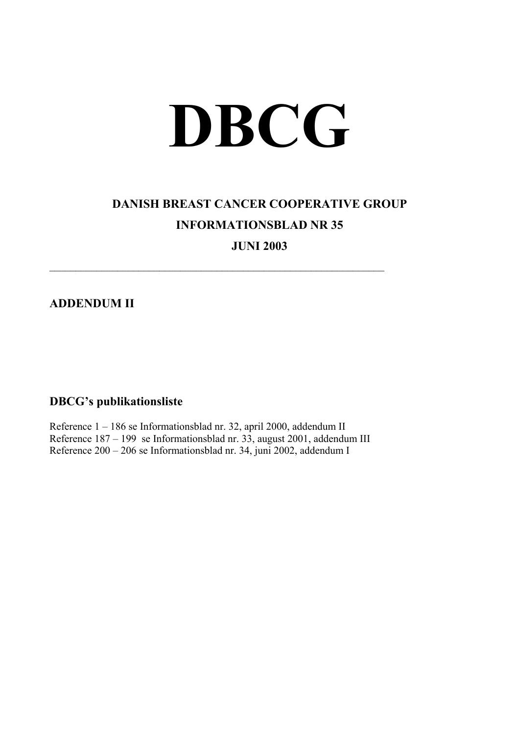## **DBCG**

## **DANISH BREAST CANCER COOPERATIVE GROUP INFORMATIONSBLAD NR 35**

**JUNI 2003** 

**ADDENDUM II** 

## **DBCG's publikationsliste**

Reference 1 – 186 se Informationsblad nr. 32, april 2000, addendum II Reference 187 – 199 se Informationsblad nr. 33, august 2001, addendum III Reference 200 – 206 se Informationsblad nr. 34, juni 2002, addendum I

 $\mathcal{L}_\text{max}$  , and the contribution of the contribution of the contribution of the contribution of the contribution of the contribution of the contribution of the contribution of the contribution of the contribution of t